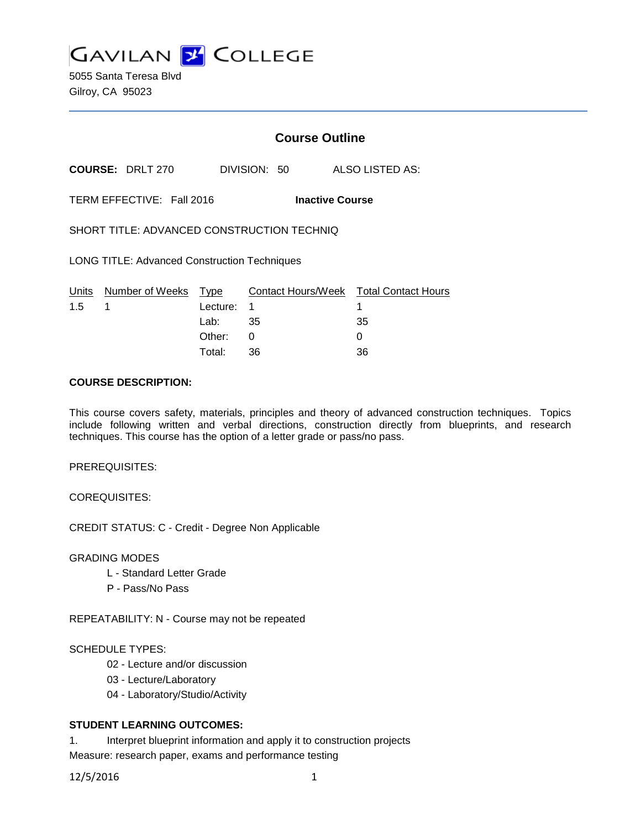

5055 Santa Teresa Blvd Gilroy, CA 95023

# **Course Outline**

**COURSE:** DRLT 270 DIVISION: 50 ALSO LISTED AS:

TERM EFFECTIVE: Fall 2016 **Inactive Course**

SHORT TITLE: ADVANCED CONSTRUCTION TECHNIQ

LONG TITLE: Advanced Construction Techniques

|               | Units Number of Weeks Type |            | Contact Hours/Week  Total Contact Hours |    |
|---------------|----------------------------|------------|-----------------------------------------|----|
| $1.5 \quad 1$ |                            | Lecture: 1 |                                         |    |
|               |                            | Lab: ___   | 35                                      | 35 |
|               |                            | Other: 0   |                                         |    |
|               |                            | Total:     | -36                                     | 36 |

### **COURSE DESCRIPTION:**

This course covers safety, materials, principles and theory of advanced construction techniques. Topics include following written and verbal directions, construction directly from blueprints, and research techniques. This course has the option of a letter grade or pass/no pass.

PREREQUISITES:

COREQUISITES:

CREDIT STATUS: C - Credit - Degree Non Applicable

GRADING MODES

- L Standard Letter Grade
- P Pass/No Pass

REPEATABILITY: N - Course may not be repeated

#### SCHEDULE TYPES:

- 02 Lecture and/or discussion
- 03 Lecture/Laboratory
- 04 Laboratory/Studio/Activity

### **STUDENT LEARNING OUTCOMES:**

1. Interpret blueprint information and apply it to construction projects Measure: research paper, exams and performance testing

12/5/2016 1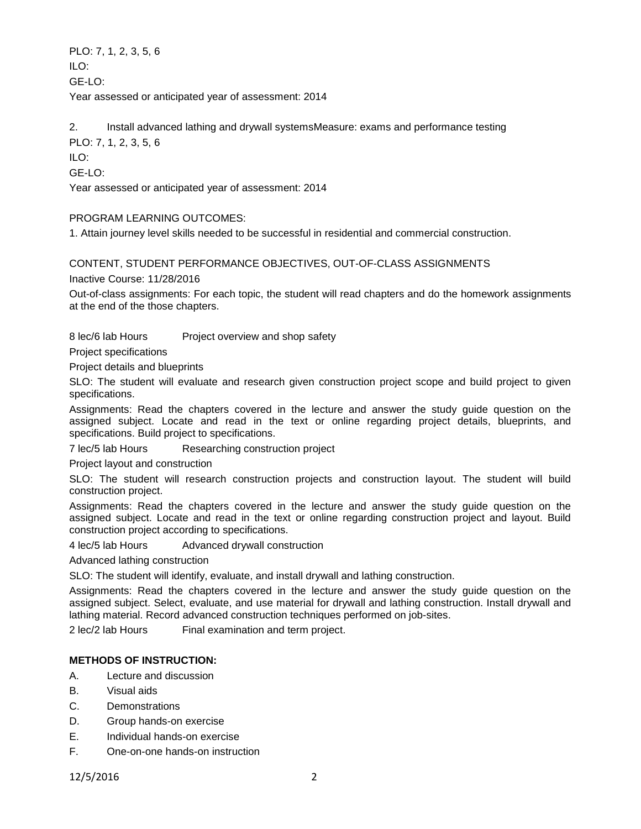PLO: 7, 1, 2, 3, 5, 6  $II$  O: GE-LO: Year assessed or anticipated year of assessment: 2014

2. Install advanced lathing and drywall systemsMeasure: exams and performance testing

PLO: 7, 1, 2, 3, 5, 6

ILO:

GE-LO:

Year assessed or anticipated year of assessment: 2014

PROGRAM LEARNING OUTCOMES:

1. Attain journey level skills needed to be successful in residential and commercial construction.

CONTENT, STUDENT PERFORMANCE OBJECTIVES, OUT-OF-CLASS ASSIGNMENTS

Inactive Course: 11/28/2016

Out-of-class assignments: For each topic, the student will read chapters and do the homework assignments at the end of the those chapters.

8 lec/6 lab Hours Project overview and shop safety

Project specifications

Project details and blueprints

SLO: The student will evaluate and research given construction project scope and build project to given specifications.

Assignments: Read the chapters covered in the lecture and answer the study guide question on the assigned subject. Locate and read in the text or online regarding project details, blueprints, and specifications. Build project to specifications.

7 lec/5 lab Hours Researching construction project

Project layout and construction

SLO: The student will research construction projects and construction layout. The student will build construction project.

Assignments: Read the chapters covered in the lecture and answer the study guide question on the assigned subject. Locate and read in the text or online regarding construction project and layout. Build construction project according to specifications.

4 lec/5 lab Hours Advanced drywall construction

Advanced lathing construction

SLO: The student will identify, evaluate, and install drywall and lathing construction.

Assignments: Read the chapters covered in the lecture and answer the study guide question on the assigned subject. Select, evaluate, and use material for drywall and lathing construction. Install drywall and lathing material. Record advanced construction techniques performed on job-sites.

2 lec/2 lab Hours Final examination and term project.

## **METHODS OF INSTRUCTION:**

- A. Lecture and discussion
- B. Visual aids
- C. Demonstrations
- D. Group hands-on exercise
- E. Individual hands-on exercise
- F. One-on-one hands-on instruction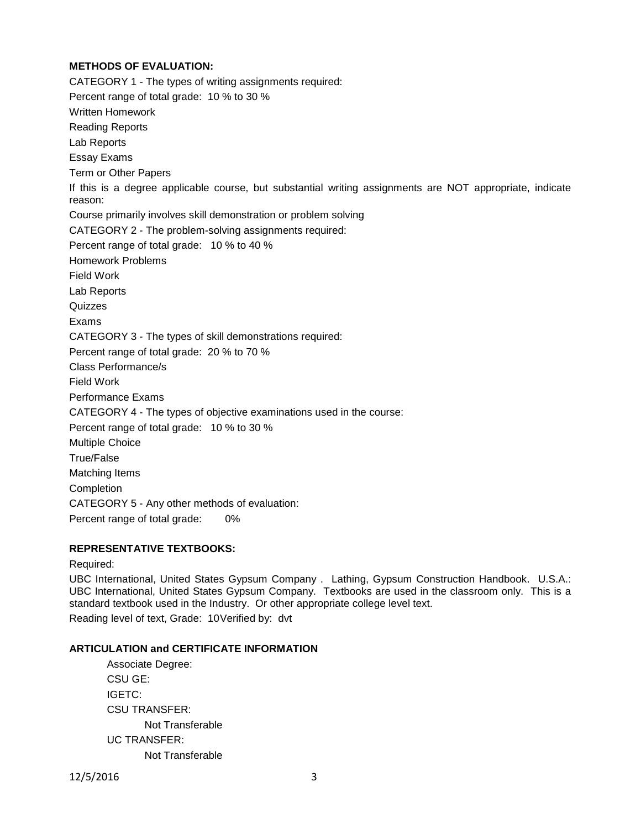# **METHODS OF EVALUATION:**

CATEGORY 1 - The types of writing assignments required: Percent range of total grade: 10 % to 30 % Written Homework Reading Reports Lab Reports Essay Exams Term or Other Papers If this is a degree applicable course, but substantial writing assignments are NOT appropriate, indicate reason: Course primarily involves skill demonstration or problem solving CATEGORY 2 - The problem-solving assignments required: Percent range of total grade: 10 % to 40 % Homework Problems Field Work Lab Reports **Quizzes** Exams CATEGORY 3 - The types of skill demonstrations required: Percent range of total grade: 20 % to 70 % Class Performance/s Field Work Performance Exams CATEGORY 4 - The types of objective examinations used in the course: Percent range of total grade: 10 % to 30 % Multiple Choice True/False Matching Items **Completion** CATEGORY 5 - Any other methods of evaluation: Percent range of total grade: 0%

## **REPRESENTATIVE TEXTBOOKS:**

#### Required:

UBC International, United States Gypsum Company . Lathing, Gypsum Construction Handbook. U.S.A.: UBC International, United States Gypsum Company. Textbooks are used in the classroom only. This is a standard textbook used in the Industry. Or other appropriate college level text.

Reading level of text, Grade: 10Verified by: dvt

#### **ARTICULATION and CERTIFICATE INFORMATION**

Associate Degree: CSU GE: IGETC: CSU TRANSFER: Not Transferable UC TRANSFER: Not Transferable